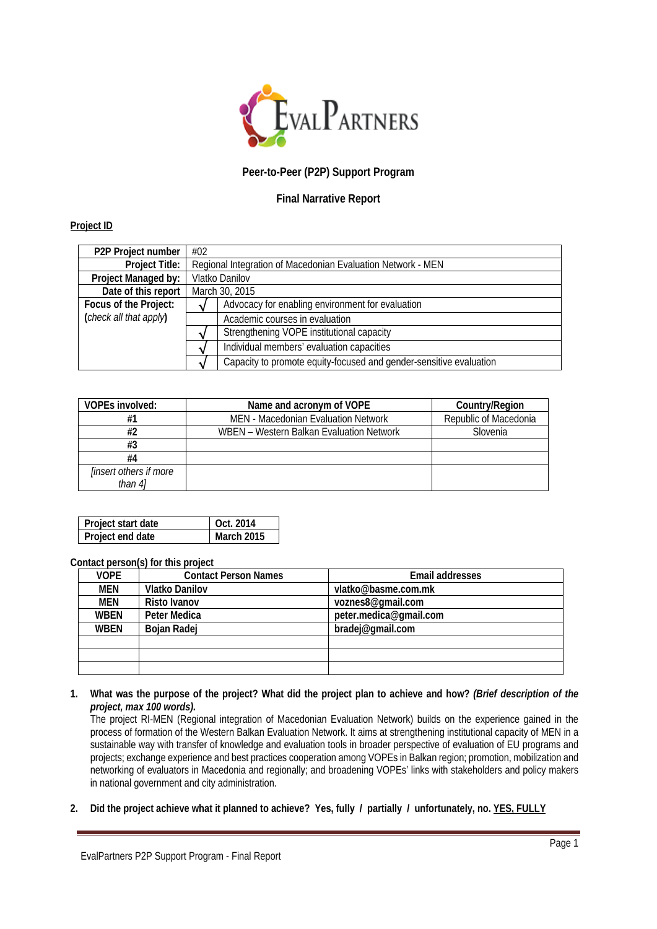

# **Peer-to-Peer (P2P) Support Program**

## **Final Narrative Report**

#### **Project ID**

| P2P Project number     | #02                                                         |                                                                    |  |
|------------------------|-------------------------------------------------------------|--------------------------------------------------------------------|--|
| <b>Project Title:</b>  | Regional Integration of Macedonian Evaluation Network - MEN |                                                                    |  |
| Project Managed by:    | Vlatko Danilov                                              |                                                                    |  |
| Date of this report    | March 30, 2015                                              |                                                                    |  |
| Focus of the Project:  | Advocacy for enabling environment for evaluation            |                                                                    |  |
| (check all that apply) | Academic courses in evaluation                              |                                                                    |  |
|                        | Strengthening VOPE institutional capacity                   |                                                                    |  |
|                        |                                                             | Individual members' evaluation capacities                          |  |
|                        |                                                             | Capacity to promote equity-focused and gender-sensitive evaluation |  |

| VOPEs involved:                          | Name and acronym of VOPE                 | Country/Region        |
|------------------------------------------|------------------------------------------|-----------------------|
| #1                                       | MEN - Macedonian Evaluation Network      | Republic of Macedonia |
| #2                                       | WBEN - Western Balkan Evaluation Network | Slovenia              |
| #3                                       |                                          |                       |
| #4                                       |                                          |                       |
| <i>linsert others if more</i><br>than 41 |                                          |                       |

| Project start date | Oct. 2014  |
|--------------------|------------|
| Project end date   | March 2015 |

### **Contact person(s) for this project**

| <b>VOPE</b> | <b>Contact Person Names</b> | <b>Email addresses</b> |
|-------------|-----------------------------|------------------------|
| MEN         | <b>Vlatko Danilov</b>       | vlatko@basme.com.mk    |
| MEN         | Risto Ivanov                | voznes8@gmail.com      |
| <b>WBEN</b> | Peter Medica                | peter.medica@gmail.com |
| <b>WBEN</b> | Bojan Radej                 | bradej@gmail.com       |
|             |                             |                        |
|             |                             |                        |
|             |                             |                        |

**1. What was the purpose of the project? What did the project plan to achieve and how?** *(Brief description of the project, max 100 words).*

The project RI-MEN (Regional integration of Macedonian Evaluation Network) builds on the experience gained in the process of formation of the Western Balkan Evaluation Network. It aims at strengthening institutional capacity of MEN in a sustainable way with transfer of knowledge and evaluation tools in broader perspective of evaluation of EU programs and projects; exchange experience and best practices cooperation among VOPEs in Balkan region; promotion, mobilization and networking of evaluators in Macedonia and regionally; and broadening VOPEs' links with stakeholders and policy makers in national government and city administration.

**2. Did the project achieve what it planned to achieve? Yes, fully / partially / unfortunately, no. YES, FULLY**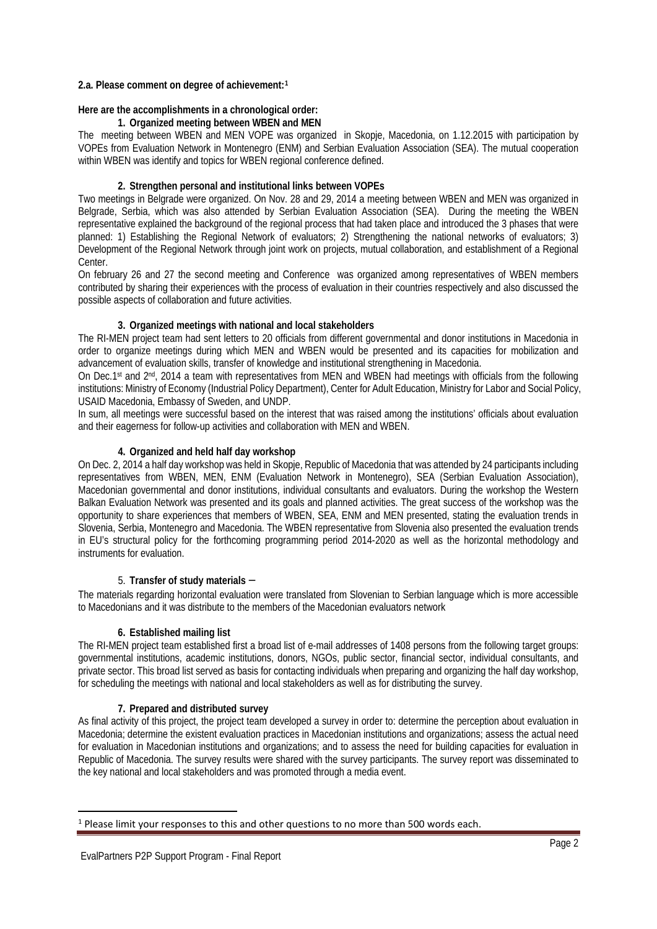#### **2.a. Please comment on degree of achievement:[1](#page-1-0)**

#### **Here are the accomplishments in a chronological order:**

#### **1. Organized meeting between WBEN and MEN**

The meeting between WBEN and MEN VOPE was organized in Skopje, Macedonia, on 1.12.2015 with participation by VOPEs from Evaluation Network in Montenegro (ENM) and Serbian Evaluation Association (SEA). The mutual cooperation within WBEN was identify and topics for WBEN regional conference defined.

### **2. Strengthen personal and institutional links between VOPEs**

Two meetings in Belgrade were organized. On Nov. 28 and 29, 2014 a meeting between WBEN and MEN was organized in Belgrade, Serbia, which was also attended by Serbian Evaluation Association (SEA). During the meeting the WBEN representative explained the background of the regional process that had taken place and introduced the 3 phases that were planned: 1) Establishing the Regional Network of evaluators; 2) Strengthening the national networks of evaluators; 3) Development of the Regional Network through joint work on projects, mutual collaboration, and establishment of a Regional Center.

On february 26 and 27 the second meeting and Conference was organized among representatives of WBEN members contributed by sharing their experiences with the process of evaluation in their countries respectively and also discussed the possible aspects of collaboration and future activities.

### **3. Organized meetings with national and local stakeholders**

The RI-MEN project team had sent letters to 20 officials from different governmental and donor institutions in Macedonia in order to organize meetings during which MEN and WBEN would be presented and its capacities for mobilization and advancement of evaluation skills, transfer of knowledge and institutional strengthening in Macedonia.

On Dec.1st and 2<sup>nd</sup>, 2014 a team with representatives from MEN and WBEN had meetings with officials from the following institutions: Ministry of Economy (Industrial Policy Department), Center for Adult Education, Ministry for Labor and Social Policy, USAID Macedonia, Embassy of Sweden, and UNDP.

In sum, all meetings were successful based on the interest that was raised among the institutions' officials about evaluation and their eagerness for follow-up activities and collaboration with MEN and WBEN.

#### **4. Organized and held half day workshop**

On Dec. 2, 2014 a half day workshop was held in Skopje, Republic of Macedonia that was attended by 24 participants including representatives from WBEN, MEN, ENM (Evaluation Network in Montenegro), SEA (Serbian Evaluation Association), Macedonian governmental and donor institutions, individual consultants and evaluators. During the workshop the Western Balkan Evaluation Network was presented and its goals and planned activities. The great success of the workshop was the opportunity to share experiences that members of WBEN, SEA, ENM and MEN presented, stating the evaluation trends in Slovenia, Serbia, Montenegro and Macedonia. The WBEN representative from Slovenia also presented the evaluation trends in EU's structural policy for the forthcoming programming period 2014-2020 as well as the horizontal methodology and instruments for evaluation.

#### 5. **Transfer of study materials** –

The materials regarding horizontal evaluation were translated from Slovenian to Serbian language which is more accessible to Macedonians and it was distribute to the members of the Macedonian evaluators network

#### **6. Established mailing list**

The RI-MEN project team established first a broad list of e-mail addresses of 1408 persons from the following target groups: governmental institutions, academic institutions, donors, NGOs, public sector, financial sector, individual consultants, and private sector. This broad list served as basis for contacting individuals when preparing and organizing the half day workshop, for scheduling the meetings with national and local stakeholders as well as for distributing the survey.

#### **7. Prepared and distributed survey**

As final activity of this project, the project team developed a survey in order to: determine the perception about evaluation in Macedonia; determine the existent evaluation practices in Macedonian institutions and organizations; assess the actual need for evaluation in Macedonian institutions and organizations; and to assess the need for building capacities for evaluation in Republic of Macedonia. The survey results were shared with the survey participants. The survey report was disseminated to the key national and local stakeholders and was promoted through a media event.

 $\overline{a}$ 

<span id="page-1-0"></span><sup>1</sup> Please limit your responses to this and other questions to no more than 500 words each.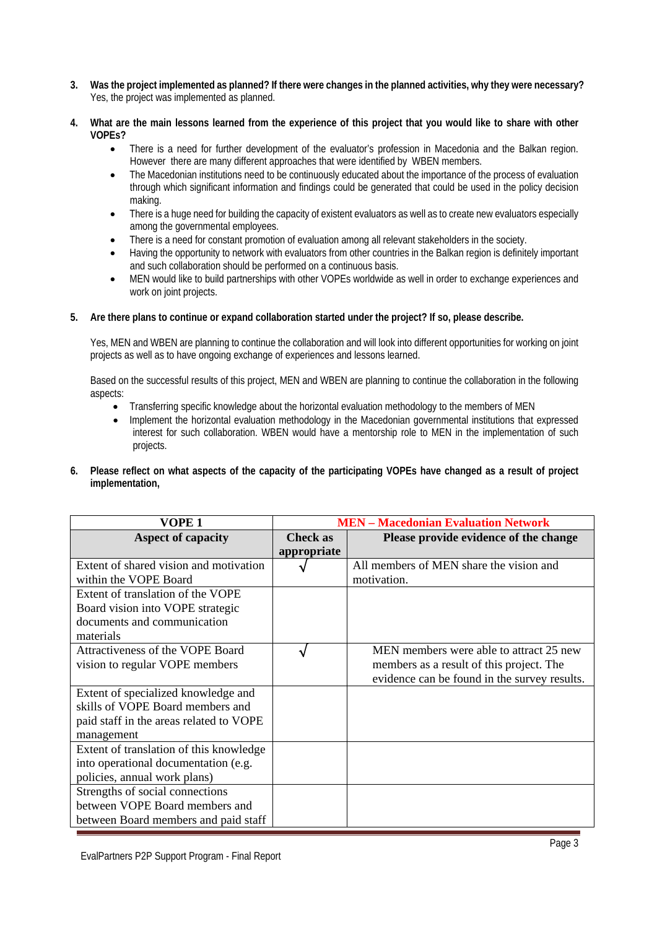- **3. Was the project implemented as planned? If there were changes in the planned activities, why they were necessary?** Yes, the project was implemented as planned.
- **4. What are the main lessons learned from the experience of this project that you would like to share with other VOPEs?**
	- There is a need for further development of the evaluator's profession in Macedonia and the Balkan region. However there are many different approaches that were identified by WBEN members.
	- The Macedonian institutions need to be continuously educated about the importance of the process of evaluation through which significant information and findings could be generated that could be used in the policy decision making.
	- There is a huge need for building the capacity of existent evaluators as well as to create new evaluators especially among the governmental employees.
	- There is a need for constant promotion of evaluation among all relevant stakeholders in the society.
	- Having the opportunity to network with evaluators from other countries in the Balkan region is definitely important and such collaboration should be performed on a continuous basis.
	- MEN would like to build partnerships with other VOPEs worldwide as well in order to exchange experiences and work on joint projects.

### **5. Are there plans to continue or expand collaboration started under the project? If so, please describe.**

Yes, MEN and WBEN are planning to continue the collaboration and will look into different opportunities for working on joint projects as well as to have ongoing exchange of experiences and lessons learned.

Based on the successful results of this project, MEN and WBEN are planning to continue the collaboration in the following aspects:

- Transferring specific knowledge about the horizontal evaluation methodology to the members of MEN
- Implement the horizontal evaluation methodology in the Macedonian governmental institutions that expressed interest for such collaboration. WBEN would have a mentorship role to MEN in the implementation of such projects.
- **6. Please reflect on what aspects of the capacity of the participating VOPEs have changed as a result of project implementation,**

| VOPE 1                                  | <b>MEN</b> – Macedonian Evaluation Network |                                              |  |
|-----------------------------------------|--------------------------------------------|----------------------------------------------|--|
| <b>Aspect of capacity</b>               | <b>Check as</b>                            | Please provide evidence of the change        |  |
|                                         | appropriate                                |                                              |  |
| Extent of shared vision and motivation  |                                            | All members of MEN share the vision and      |  |
| within the VOPE Board                   |                                            | motivation.                                  |  |
| Extent of translation of the VOPE       |                                            |                                              |  |
| Board vision into VOPE strategic        |                                            |                                              |  |
| documents and communication             |                                            |                                              |  |
| materials                               |                                            |                                              |  |
| Attractiveness of the VOPE Board        |                                            | MEN members were able to attract 25 new      |  |
| vision to regular VOPE members          |                                            | members as a result of this project. The     |  |
|                                         |                                            | evidence can be found in the survey results. |  |
| Extent of specialized knowledge and     |                                            |                                              |  |
| skills of VOPE Board members and        |                                            |                                              |  |
| paid staff in the areas related to VOPE |                                            |                                              |  |
| management                              |                                            |                                              |  |
| Extent of translation of this knowledge |                                            |                                              |  |
| into operational documentation (e.g.    |                                            |                                              |  |
| policies, annual work plans)            |                                            |                                              |  |
| Strengths of social connections         |                                            |                                              |  |
| between VOPE Board members and          |                                            |                                              |  |
| between Board members and paid staff    |                                            |                                              |  |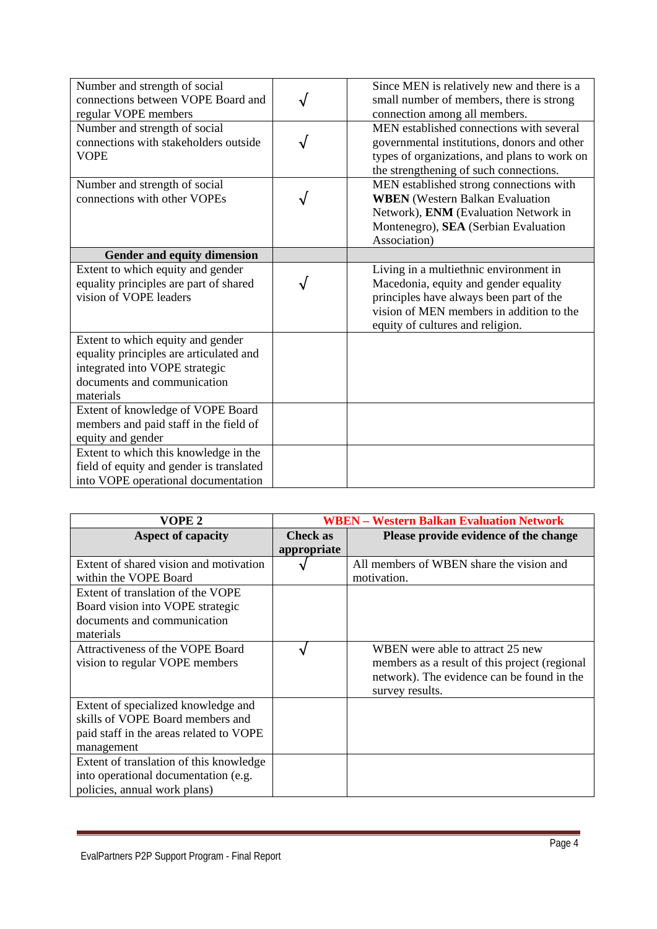| Number and strength of social<br>connections between VOPE Board and<br>regular VOPE members                                                                | Since MEN is relatively new and there is a<br>small number of members, there is strong<br>connection among all members.                                                                                    |
|------------------------------------------------------------------------------------------------------------------------------------------------------------|------------------------------------------------------------------------------------------------------------------------------------------------------------------------------------------------------------|
| Number and strength of social<br>connections with stakeholders outside<br><b>VOPE</b>                                                                      | MEN established connections with several<br>governmental institutions, donors and other<br>types of organizations, and plans to work on<br>the strengthening of such connections.                          |
| Number and strength of social<br>connections with other VOPEs                                                                                              | MEN established strong connections with<br><b>WBEN</b> (Western Balkan Evaluation<br>Network), ENM (Evaluation Network in<br>Montenegro), SEA (Serbian Evaluation<br>Association)                          |
| Gender and equity dimension                                                                                                                                |                                                                                                                                                                                                            |
| Extent to which equity and gender<br>equality principles are part of shared<br>vision of VOPE leaders                                                      | Living in a multiethnic environment in<br>Macedonia, equity and gender equality<br>principles have always been part of the<br>vision of MEN members in addition to the<br>equity of cultures and religion. |
| Extent to which equity and gender<br>equality principles are articulated and<br>integrated into VOPE strategic<br>documents and communication<br>materials |                                                                                                                                                                                                            |
| Extent of knowledge of VOPE Board<br>members and paid staff in the field of<br>equity and gender                                                           |                                                                                                                                                                                                            |
| Extent to which this knowledge in the<br>field of equity and gender is translated<br>into VOPE operational documentation                                   |                                                                                                                                                                                                            |

| VOPE 2                                  | <b>WBEN – Western Balkan Evaluation Network</b> |                                               |  |
|-----------------------------------------|-------------------------------------------------|-----------------------------------------------|--|
| <b>Aspect of capacity</b>               | Check as                                        | Please provide evidence of the change         |  |
|                                         | appropriate                                     |                                               |  |
| Extent of shared vision and motivation  |                                                 | All members of WBEN share the vision and      |  |
| within the VOPE Board                   |                                                 | motivation.                                   |  |
| Extent of translation of the VOPE       |                                                 |                                               |  |
| Board vision into VOPE strategic        |                                                 |                                               |  |
| documents and communication             |                                                 |                                               |  |
| materials                               |                                                 |                                               |  |
| Attractiveness of the VOPE Board        |                                                 | WBEN were able to attract 25 new              |  |
| vision to regular VOPE members          |                                                 | members as a result of this project (regional |  |
|                                         |                                                 | network). The evidence can be found in the    |  |
|                                         |                                                 | survey results.                               |  |
| Extent of specialized knowledge and     |                                                 |                                               |  |
| skills of VOPE Board members and        |                                                 |                                               |  |
| paid staff in the areas related to VOPE |                                                 |                                               |  |
| management                              |                                                 |                                               |  |
| Extent of translation of this knowledge |                                                 |                                               |  |
| into operational documentation (e.g.    |                                                 |                                               |  |
| policies, annual work plans)            |                                                 |                                               |  |